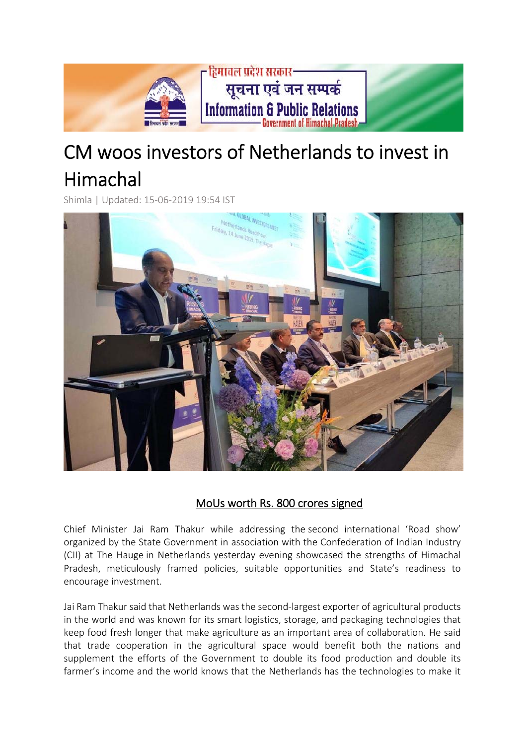

## CM woos investors of Netherlands to invest in Himachal

Shimla | Updated: 15‐06‐2019 19:54 IST



## MoUs worth Rs. 800 crores signed

Chief Minister Jai Ram Thakur while addressing the second international 'Road show' organized by the State Government in association with the Confederation of Indian Industry (CII) at The Hauge in Netherlands yesterday evening showcased the strengths of Himachal Pradesh, meticulously framed policies, suitable opportunities and State's readiness to encourage investment.

Jai Ram Thakur said that Netherlands was the second‐largest exporter of agricultural products in the world and was known for its smart logistics, storage, and packaging technologies that keep food fresh longer that make agriculture as an important area of collaboration. He said that trade cooperation in the agricultural space would benefit both the nations and supplement the efforts of the Government to double its food production and double its farmer's income and the world knows that the Netherlands has the technologies to make it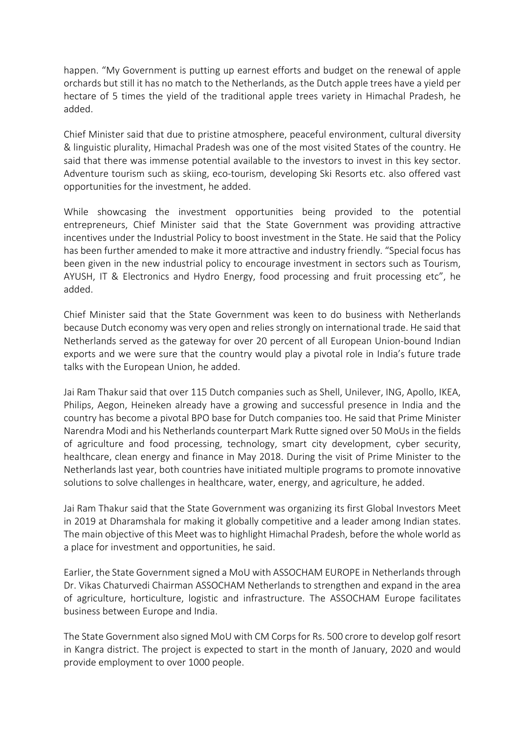happen. "My Government is putting up earnest efforts and budget on the renewal of apple orchards but still it has no match to the Netherlands, as the Dutch apple trees have a yield per hectare of 5 times the yield of the traditional apple trees variety in Himachal Pradesh, he added.

Chief Minister said that due to pristine atmosphere, peaceful environment, cultural diversity & linguistic plurality, Himachal Pradesh was one of the most visited States of the country. He said that there was immense potential available to the investors to invest in this key sector. Adventure tourism such as skiing, eco-tourism, developing Ski Resorts etc. also offered vast opportunities for the investment, he added.

While showcasing the investment opportunities being provided to the potential entrepreneurs, Chief Minister said that the State Government was providing attractive incentives under the Industrial Policy to boost investment in the State. He said that the Policy has been further amended to make it more attractive and industry friendly. "Special focus has been given in the new industrial policy to encourage investment in sectors such as Tourism, AYUSH, IT & Electronics and Hydro Energy, food processing and fruit processing etc", he added.

Chief Minister said that the State Government was keen to do business with Netherlands because Dutch economy was very open and relies strongly on international trade. He said that Netherlands served as the gateway for over 20 percent of all European Union‐bound Indian exports and we were sure that the country would play a pivotal role in India's future trade talks with the European Union, he added.

Jai Ram Thakur said that over 115 Dutch companies such as Shell, Unilever, ING, Apollo, IKEA, Philips, Aegon, Heineken already have a growing and successful presence in India and the country has become a pivotal BPO base for Dutch companies too. He said that Prime Minister Narendra Modi and his Netherlands counterpart Mark Rutte signed over 50 MoUs in the fields of agriculture and food processing, technology, smart city development, cyber security, healthcare, clean energy and finance in May 2018. During the visit of Prime Minister to the Netherlands last year, both countries have initiated multiple programs to promote innovative solutions to solve challenges in healthcare, water, energy, and agriculture, he added.

Jai Ram Thakur said that the State Government was organizing its first Global Investors Meet in 2019 at Dharamshala for making it globally competitive and a leader among Indian states. The main objective of this Meet was to highlight Himachal Pradesh, before the whole world as a place for investment and opportunities, he said.

Earlier, the State Government signed a MoU with ASSOCHAM EUROPE in Netherlandsthrough Dr. Vikas Chaturvedi Chairman ASSOCHAM Netherlands to strengthen and expand in the area of agriculture, horticulture, logistic and infrastructure. The ASSOCHAM Europe facilitates business between Europe and India.

The State Government also signed MoU with CM Corpsfor Rs. 500 crore to develop golf resort in Kangra district. The project is expected to start in the month of January, 2020 and would provide employment to over 1000 people.